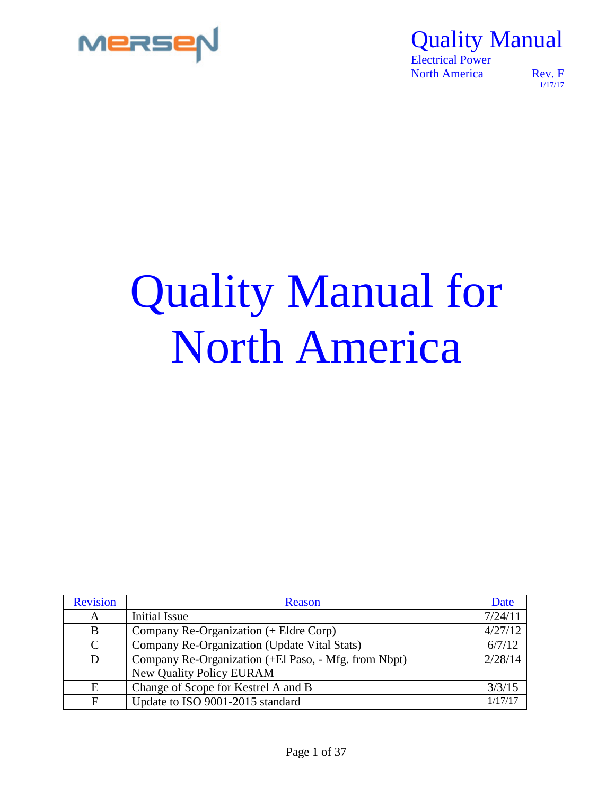

 Electrical Power North America Rev. F

1/17/17

# Quality Manual for North America

| <b>Revision</b> | Reason                                               | Date    |
|-----------------|------------------------------------------------------|---------|
| A               | Initial Issue                                        | 7/24/11 |
| B               | Company Re-Organization (+ Eldre Corp)               | 4/27/12 |
| C               | Company Re-Organization (Update Vital Stats)         | 6/7/12  |
| D               | Company Re-Organization (+El Paso, - Mfg. from Nbpt) | 2/28/14 |
|                 | <b>New Quality Policy EURAM</b>                      |         |
| E               | Change of Scope for Kestrel A and B                  | 3/3/15  |
| $\mathbf F$     | Update to ISO 9001-2015 standard                     | 1/17/17 |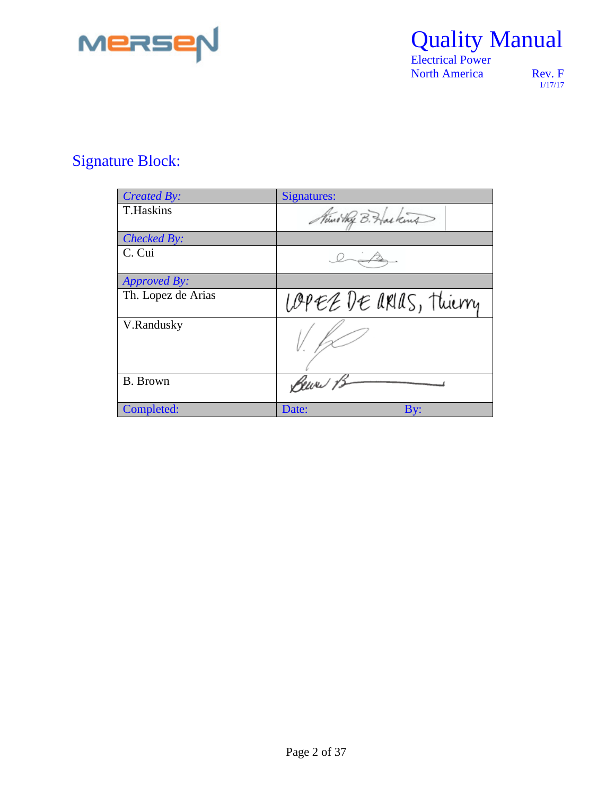

 Electrical Power North America Rev. F

1/17/17

### Signature Block:

| Created By:         | Signatures:             |
|---------------------|-------------------------|
| <b>T.Haskins</b>    | Mini they B. Haskins    |
| Checked By:         |                         |
| C. Cui              |                         |
| <i>Approved By:</i> |                         |
| Th. Lopez de Arias  | LOPEE DE ARIAS, Thierry |
| V.Randusky          |                         |
| <b>B.</b> Brown     | Bewer 15                |
| Completed:          | Date:<br>By:            |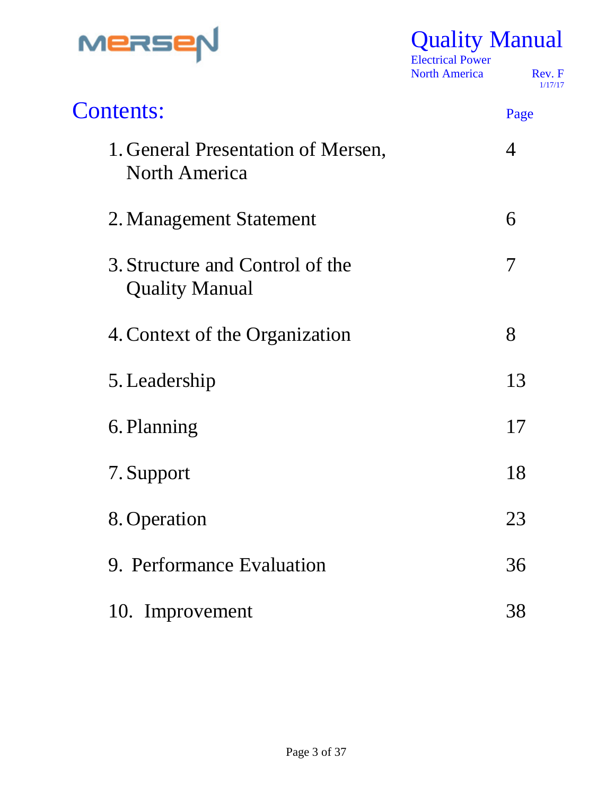

 Electrical Power North America Rev. F

1/17/17

| <b>Contents:</b>                                           | Page           |
|------------------------------------------------------------|----------------|
| 1. General Presentation of Mersen,<br><b>North America</b> | $\overline{4}$ |
| 2. Management Statement                                    | 6              |
| 3. Structure and Control of the<br><b>Quality Manual</b>   | 7              |
| 4. Context of the Organization                             | 8              |
| 5. Leadership                                              | 13             |
| 6. Planning                                                | 17             |
| 7. Support                                                 | 18             |
| 8. Operation                                               | 23             |
| 9. Performance Evaluation                                  | 36             |
| 10. Improvement                                            | 38             |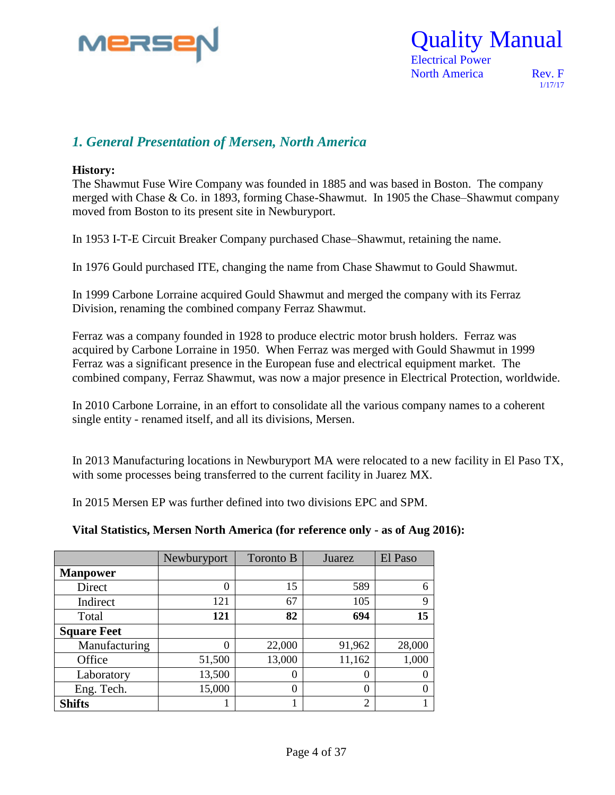

 Electrical Power North America Rev. F

1/17/17

#### *1. General Presentation of Mersen, North America*

#### **History:**

The Shawmut Fuse Wire Company was founded in 1885 and was based in Boston. The company merged with Chase & Co. in 1893, forming Chase-Shawmut. In 1905 the Chase–Shawmut company moved from Boston to its present site in Newburyport.

In 1953 I-T-E Circuit Breaker Company purchased Chase–Shawmut, retaining the name.

In 1976 Gould purchased ITE, changing the name from Chase Shawmut to Gould Shawmut.

In 1999 Carbone Lorraine acquired Gould Shawmut and merged the company with its Ferraz Division, renaming the combined company Ferraz Shawmut.

Ferraz was a company founded in 1928 to produce electric motor brush holders. Ferraz was acquired by Carbone Lorraine in 1950. When Ferraz was merged with Gould Shawmut in 1999 Ferraz was a significant presence in the European fuse and electrical equipment market. The combined company, Ferraz Shawmut, was now a major presence in Electrical Protection, worldwide.

In 2010 Carbone Lorraine, in an effort to consolidate all the various company names to a coherent single entity - renamed itself, and all its divisions, Mersen.

In 2013 Manufacturing locations in Newburyport MA were relocated to a new facility in El Paso TX, with some processes being transferred to the current facility in Juarez MX.

In 2015 Mersen EP was further defined into two divisions EPC and SPM.

**Vital Statistics, Mersen North America (for reference only - as of Aug 2016):**

|                    | Newburyport | Toronto B | Juarez | El Paso |
|--------------------|-------------|-----------|--------|---------|
| <b>Manpower</b>    |             |           |        |         |
| Direct             | 0           | 15        | 589    | 6       |
| Indirect           | 121         | 67        | 105    | 9       |
| Total              | 121         | 82        | 694    | 15      |
| <b>Square Feet</b> |             |           |        |         |
| Manufacturing      | 0           | 22,000    | 91,962 | 28,000  |
| Office             | 51,500      | 13,000    | 11,162 | 1,000   |
| Laboratory         | 13,500      | 0         | 0      |         |
| Eng. Tech.         | 15,000      | 0         | 0      |         |
| <b>Shifts</b>      |             |           | 2      |         |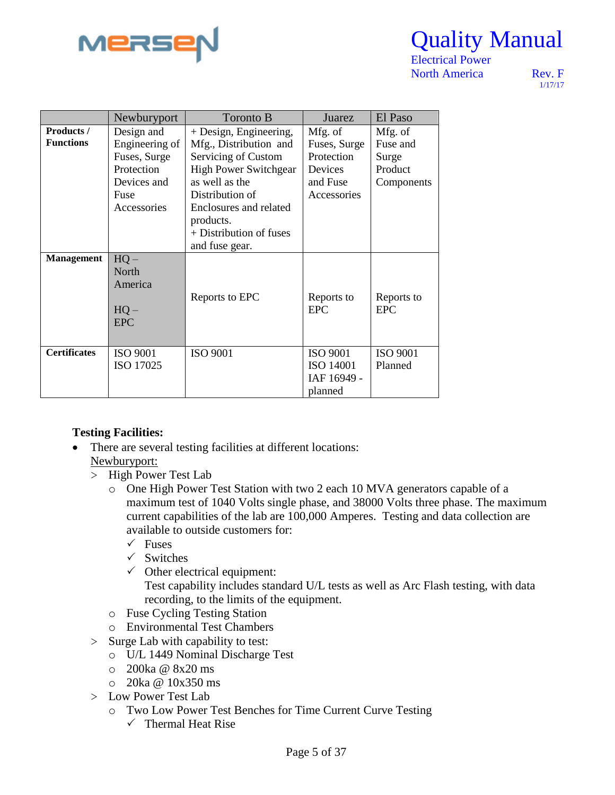

 Electrical Power North America Rev. F

1/17/17

|                     | Newburyport     | Toronto B                    | Juarez           | El Paso         |
|---------------------|-----------------|------------------------------|------------------|-----------------|
| <b>Products</b> /   | Design and      | + Design, Engineering,       | Mfg. of          | Mfg. of         |
| <b>Functions</b>    | Engineering of  | Mfg., Distribution and       | Fuses, Surge     | Fuse and        |
|                     | Fuses, Surge    | Servicing of Custom          | Protection       | Surge           |
|                     | Protection      | <b>High Power Switchgear</b> | Devices          | Product         |
|                     | Devices and     | as well as the               | and Fuse         | Components      |
|                     | Fuse            | Distribution of              | Accessories      |                 |
|                     | Accessories     | Enclosures and related       |                  |                 |
|                     |                 | products.                    |                  |                 |
|                     |                 | + Distribution of fuses      |                  |                 |
|                     |                 | and fuse gear.               |                  |                 |
| <b>Management</b>   | $HQ -$          |                              |                  |                 |
|                     | North           |                              |                  |                 |
|                     | America         |                              |                  |                 |
|                     |                 | Reports to EPC               | Reports to       | Reports to      |
|                     | $HQ -$          |                              | <b>EPC</b>       | <b>EPC</b>      |
|                     | <b>EPC</b>      |                              |                  |                 |
|                     |                 |                              |                  |                 |
| <b>Certificates</b> | <b>ISO 9001</b> | <b>ISO 9001</b>              | <b>ISO 9001</b>  | <b>ISO 9001</b> |
|                     | ISO 17025       |                              | <b>ISO 14001</b> | Planned         |
|                     |                 |                              | IAF 16949 -      |                 |
|                     |                 |                              | planned          |                 |

#### **Testing Facilities:**

- There are several testing facilities at different locations: Newburyport:
	- > High Power Test Lab
		- o One High Power Test Station with two 2 each 10 MVA generators capable of a maximum test of 1040 Volts single phase, and 38000 Volts three phase. The maximum current capabilities of the lab are 100,000 Amperes. Testing and data collection are available to outside customers for:
			- $\sqrt{\ }$  Fuses
			- $\checkmark$  Switches
			- $\checkmark$  Other electrical equipment: Test capability includes standard U/L tests as well as Arc Flash testing, with data recording, to the limits of the equipment.
		- o Fuse Cycling Testing Station
		- o Environmental Test Chambers
	- > Surge Lab with capability to test:
		- o U/L 1449 Nominal Discharge Test
		- o 200ka @ 8x20 ms
		- o 20ka @ 10x350 ms
	- > Low Power Test Lab
		- o Two Low Power Test Benches for Time Current Curve Testing  $\checkmark$  Thermal Heat Rise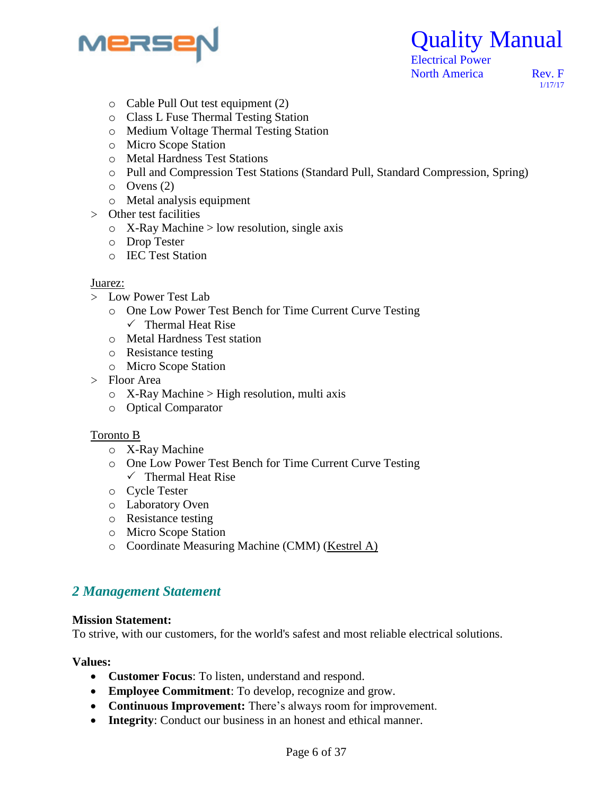

Quality Manual

1/17/17

- o Cable Pull Out test equipment (2)
- o Class L Fuse Thermal Testing Station
- o Medium Voltage Thermal Testing Station
- o Micro Scope Station
- o Metal Hardness Test Stations
- o Pull and Compression Test Stations (Standard Pull, Standard Compression, Spring)
- o Ovens (2)
- o Metal analysis equipment
- > Other test facilities
	- o X-Ray Machine > low resolution, single axis
	- o Drop Tester
	- o IEC Test Station

#### Juarez:

- > Low Power Test Lab
	- o One Low Power Test Bench for Time Current Curve Testing
		- $\checkmark$  Thermal Heat Rise
	- o Metal Hardness Test station
	- o Resistance testing
	- o Micro Scope Station
- > Floor Area
	- $\circ$  X-Ray Machine > High resolution, multi axis
	- o Optical Comparator

#### Toronto B

- o X-Ray Machine
- o One Low Power Test Bench for Time Current Curve Testing  $\checkmark$  Thermal Heat Rise
- o Cycle Tester
- o Laboratory Oven
- o Resistance testing
- o Micro Scope Station
- o Coordinate Measuring Machine (CMM) (Kestrel A)

#### *2 Management Statement*

#### **Mission Statement:**

To strive, with our customers, for the world's safest and most reliable electrical solutions.

#### **Values:**

- **Customer Focus**: To listen, understand and respond.
- **Employee Commitment**: To develop, recognize and grow.
- **Continuous Improvement:** There's always room for improvement.
- **Integrity**: Conduct our business in an honest and ethical manner.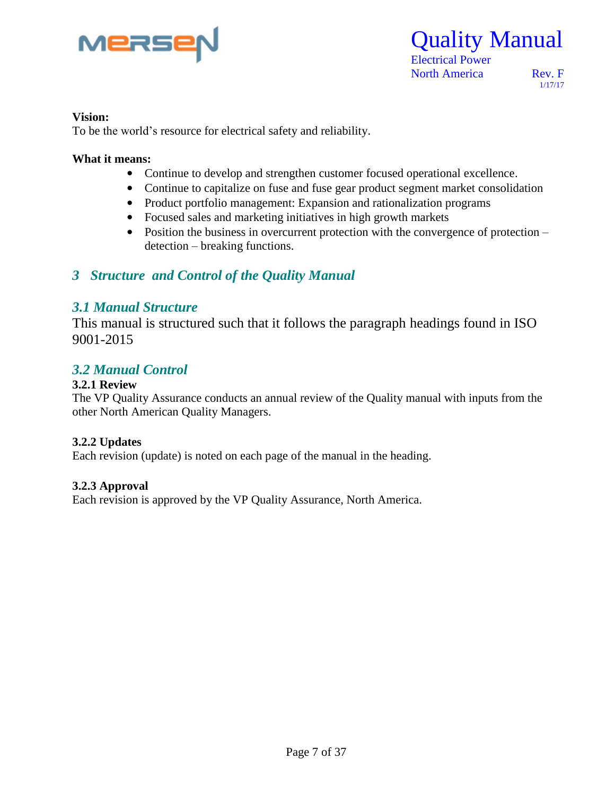

 Electrical Power North America Rev. F

1/17/17

#### **Vision:**

To be the world's resource for electrical safety and reliability.

#### **What it means:**

- Continue to develop and strengthen customer focused operational excellence.
- Continue to capitalize on fuse and fuse gear product segment market consolidation
- Product portfolio management: Expansion and rationalization programs
- Focused sales and marketing initiatives in high growth markets
- Position the business in overcurrent protection with the convergence of protection detection – breaking functions.

#### *3 Structure and Control of the Quality Manual*

#### *3.1 Manual Structure*

This manual is structured such that it follows the paragraph headings found in ISO 9001-2015

#### *3.2 Manual Control*

#### **3.2.1 Review**

The VP Quality Assurance conducts an annual review of the Quality manual with inputs from the other North American Quality Managers.

#### **3.2.2 Updates**

Each revision (update) is noted on each page of the manual in the heading.

#### **3.2.3 Approval**

Each revision is approved by the VP Quality Assurance, North America.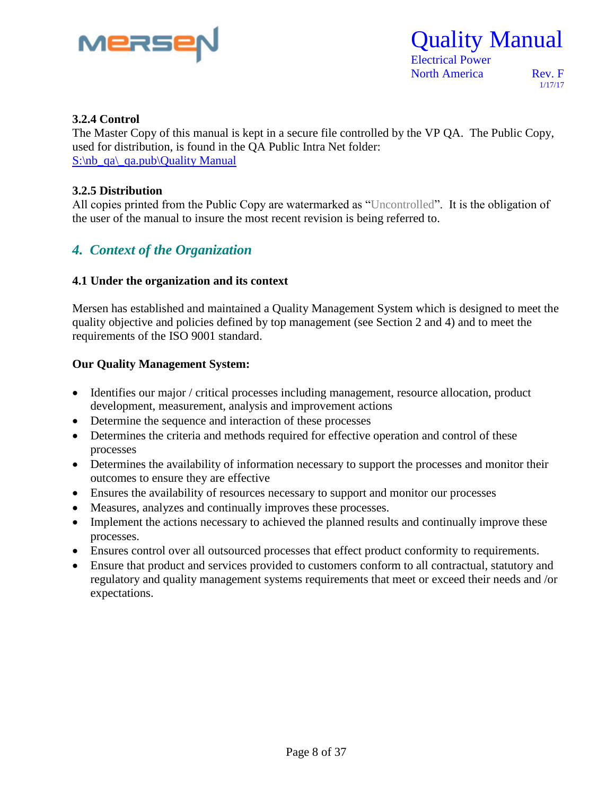

 Electrical Power North America Rev. F

1/17/17

#### **3.2.4 Control**

The Master Copy of this manual is kept in a secure file controlled by the VP QA. The Public Copy, used for distribution, is found in the QA Public Intra Net folder:  $S:\n *q*\n *q*\n *q*\n *q*\n *q*\n *q*\n *q*\n *q*\n *q*\n *q*\n *q*\n *q*\n *q*\n *q*\n *q*\n *q*\n *q*\n *q*\n *q*\n *q*\n *q*\n *q*\n *q*\n *q*\n$ 

#### **3.2.5 Distribution**

All copies printed from the Public Copy are watermarked as "Uncontrolled". It is the obligation of the user of the manual to insure the most recent revision is being referred to.

#### *4. Context of the Organization*

#### **4.1 Under the organization and its context**

Mersen has established and maintained a Quality Management System which is designed to meet the quality objective and policies defined by top management (see Section 2 and 4) and to meet the requirements of the ISO 9001 standard.

#### **Our Quality Management System:**

- Identifies our major / critical processes including management, resource allocation, product development, measurement, analysis and improvement actions
- Determine the sequence and interaction of these processes
- Determines the criteria and methods required for effective operation and control of these processes
- Determines the availability of information necessary to support the processes and monitor their outcomes to ensure they are effective
- Ensures the availability of resources necessary to support and monitor our processes
- Measures, analyzes and continually improves these processes.
- Implement the actions necessary to achieved the planned results and continually improve these processes.
- Ensures control over all outsourced processes that effect product conformity to requirements.
- Ensure that product and services provided to customers conform to all contractual, statutory and regulatory and quality management systems requirements that meet or exceed their needs and /or expectations.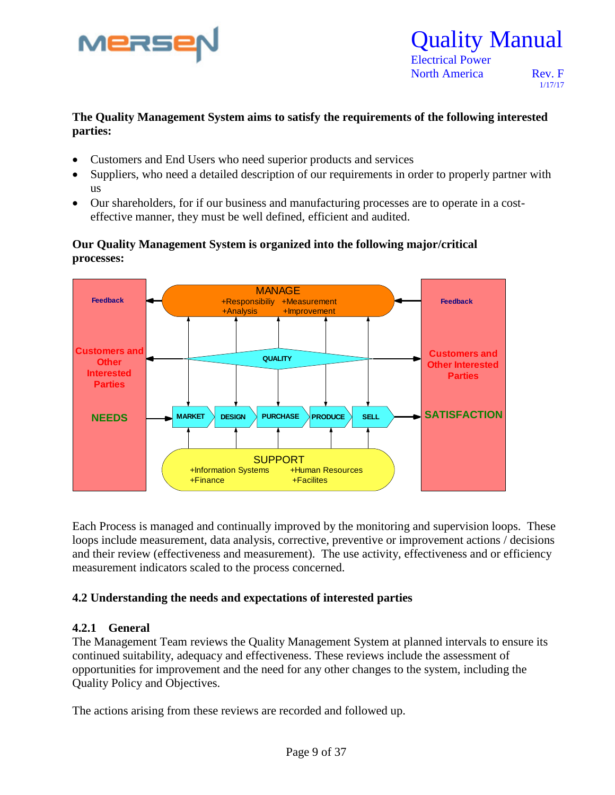

### Quality Manual Electrical Power

North America Rev. F

1/17/17

#### **The Quality Management System aims to satisfy the requirements of the following interested parties:**

- Customers and End Users who need superior products and services
- Suppliers, who need a detailed description of our requirements in order to properly partner with us
- Our shareholders, for if our business and manufacturing processes are to operate in a costeffective manner, they must be well defined, efficient and audited.

#### **Our Quality Management System is organized into the following major/critical processes:**



Each Process is managed and continually improved by the monitoring and supervision loops. These loops include measurement, data analysis, corrective, preventive or improvement actions / decisions and their review (effectiveness and measurement). The use activity, effectiveness and or efficiency measurement indicators scaled to the process concerned.

#### **4.2 Understanding the needs and expectations of interested parties**

#### **4.2.1 General**

The Management Team reviews the Quality Management System at planned intervals to ensure its continued suitability, adequacy and effectiveness. These reviews include the assessment of opportunities for improvement and the need for any other changes to the system, including the Quality Policy and Objectives.

The actions arising from these reviews are recorded and followed up.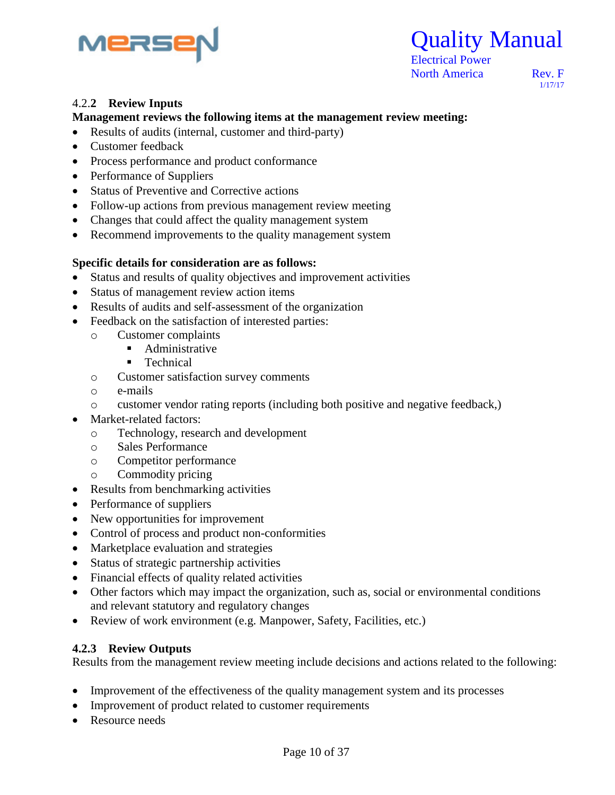



1/17/17

### Re 4.2.**<sup>2</sup> Review Inputs**

#### **Management reviews the following items at the management review meeting:**

- Results of audits (internal, customer and third-party)
- Customer feedback
- Process performance and product conformance
- Performance of Suppliers
- Status of Preventive and Corrective actions
- Follow-up actions from previous management review meeting
- Changes that could affect the quality management system
- Recommend improvements to the quality management system

#### **Specific details for consideration are as follows:**

- Status and results of quality objectives and improvement activities
- Status of management review action items
- Results of audits and self-assessment of the organization
- Feedback on the satisfaction of interested parties:
	- o Customer complaints
		- **Administrative**
		- **Technical**
	- o Customer satisfaction survey comments
	- o e-mails
	- o customer vendor rating reports (including both positive and negative feedback,)
- Market-related factors:
	- o Technology, research and development
	- o Sales Performance
	- o Competitor performance
	- o Commodity pricing
- Results from benchmarking activities
- Performance of suppliers
- New opportunities for improvement
- Control of process and product non-conformities
- Marketplace evaluation and strategies
- Status of strategic partnership activities
- Financial effects of quality related activities
- Other factors which may impact the organization, such as, social or environmental conditions and relevant statutory and regulatory changes
- Review of work environment (e.g. Manpower, Safety, Facilities, etc.)

#### **4.2.3 Review Outputs**

Results from the management review meeting include decisions and actions related to the following:

- Improvement of the effectiveness of the quality management system and its processes
- Improvement of product related to customer requirements
- Resource needs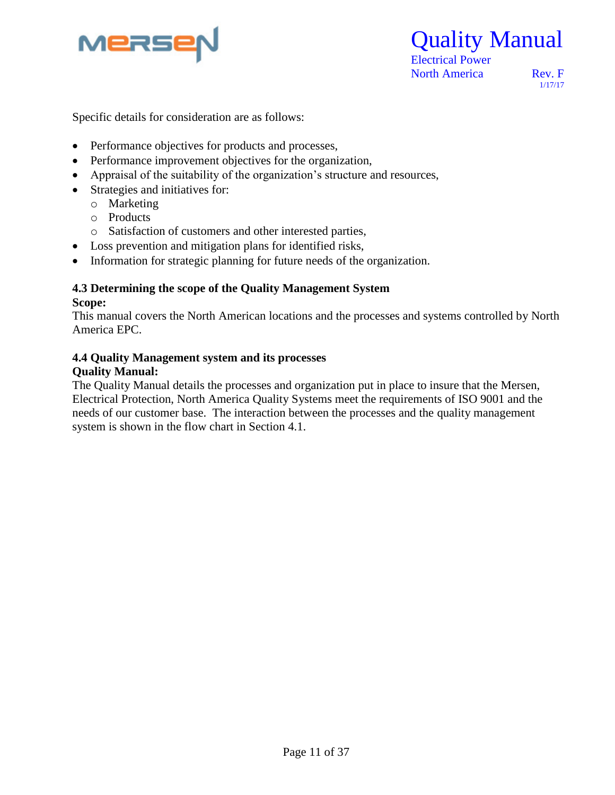

 Electrical Power North America Rev. F

1/17/17

Specific details for consideration are as follows:

- Performance objectives for products and processes,
- Performance improvement objectives for the organization,
- Appraisal of the suitability of the organization's structure and resources,
- Strategies and initiatives for:
	- o Marketing
	- o Products
	- o Satisfaction of customers and other interested parties,
- Loss prevention and mitigation plans for identified risks,
- Information for strategic planning for future needs of the organization.

#### **4.3 Determining the scope of the Quality Management System Scope:**

This manual covers the North American locations and the processes and systems controlled by North America EPC.

#### **4.4 Quality Management system and its processes Quality Manual:**

#### The Quality Manual details the processes and organization put in place to insure that the Mersen, Electrical Protection, North America Quality Systems meet the requirements of ISO 9001 and the needs of our customer base. The interaction between the processes and the quality management system is shown in the flow chart in Section 4.1.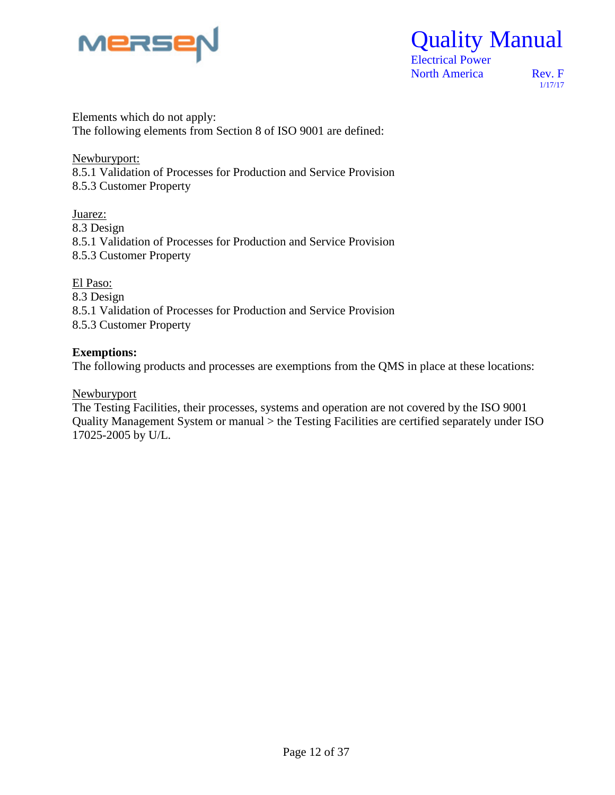

Quality Manual

1/17/17

Elements which do not apply: The following elements from Section 8 of ISO 9001 are defined:

Newburyport: 8.5.1 Validation of Processes for Production and Service Provision 8.5.3 Customer Property

Juarez: 8.3 Design 8.5.1 Validation of Processes for Production and Service Provision 8.5.3 Customer Property

El Paso: 8.3 Design 8.5.1 Validation of Processes for Production and Service Provision 8.5.3 Customer Property

#### **Exemptions:**

The following products and processes are exemptions from the QMS in place at these locations:

Newburyport

The Testing Facilities, their processes, systems and operation are not covered by the ISO 9001 Quality Management System or manual > the Testing Facilities are certified separately under ISO 17025-2005 by U/L.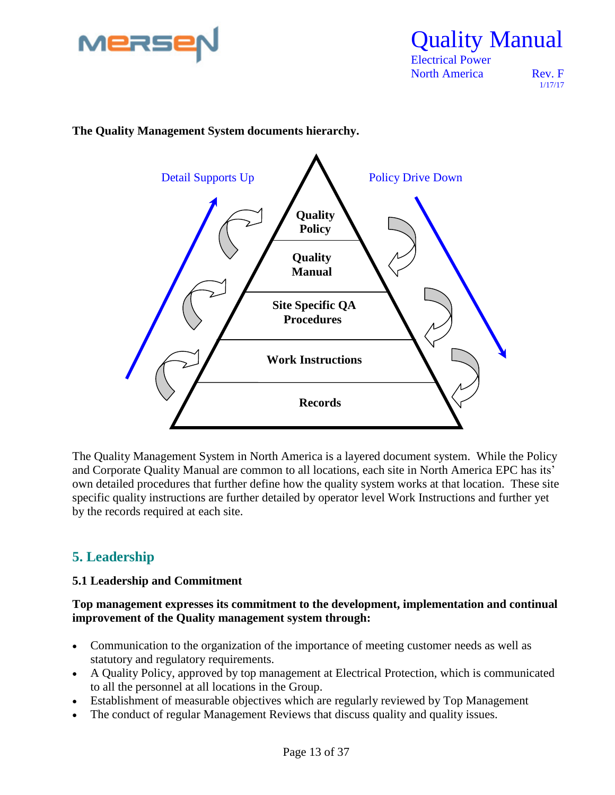

 Electrical Power North America Rev. F

1/17/17





The Quality Management System in North America is a layered document system. While the Policy and Corporate Quality Manual are common to all locations, each site in North America EPC has its' own detailed procedures that further define how the quality system works at that location. These site specific quality instructions are further detailed by operator level Work Instructions and further yet by the records required at each site.

#### **5. Leadership**

#### **5.1 Leadership and Commitment**

**Top management expresses its commitment to the development, implementation and continual improvement of the Quality management system through:**

- Communication to the organization of the importance of meeting customer needs as well as statutory and regulatory requirements.
- A Quality Policy, approved by top management at Electrical Protection, which is communicated to all the personnel at all locations in the Group.
- Establishment of measurable objectives which are regularly reviewed by Top Management
- The conduct of regular Management Reviews that discuss quality and quality issues.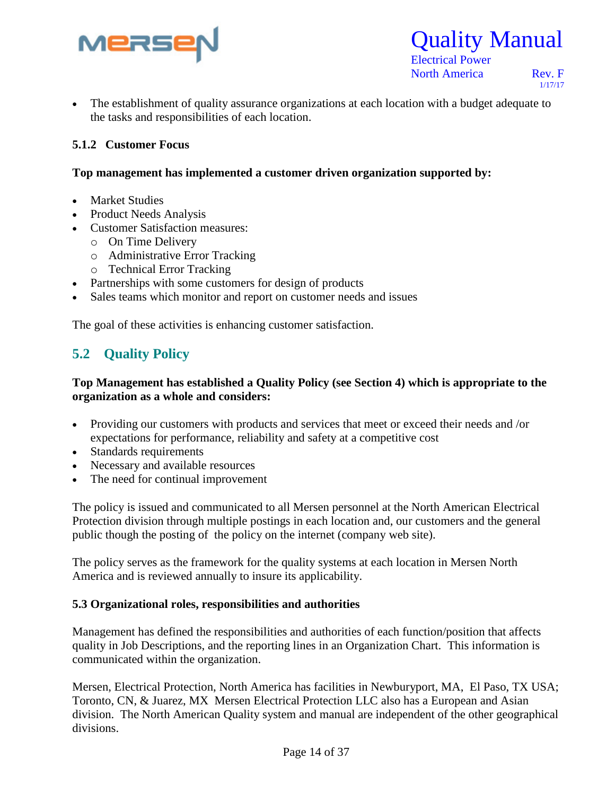



North America Rev. F

1/17/17

 The establishment of quality assurance organizations at each location with a budget adequate to the tasks and responsibilities of each location.

#### **5.1.2 Customer Focus**

#### **Top management has implemented a customer driven organization supported by:**

- Market Studies
- Product Needs Analysis
- Customer Satisfaction measures:
	- o On Time Delivery
	- o Administrative Error Tracking
	- o Technical Error Tracking
- Partnerships with some customers for design of products
- Sales teams which monitor and report on customer needs and issues

The goal of these activities is enhancing customer satisfaction.

#### **5.2 Quality Policy**

#### **Top Management has established a Quality Policy (see Section 4) which is appropriate to the organization as a whole and considers:**

- Providing our customers with products and services that meet or exceed their needs and /or expectations for performance, reliability and safety at a competitive cost
- Standards requirements
- Necessary and available resources
- The need for continual improvement

The policy is issued and communicated to all Mersen personnel at the North American Electrical Protection division through multiple postings in each location and, our customers and the general public though the posting of the policy on the internet (company web site).

The policy serves as the framework for the quality systems at each location in Mersen North America and is reviewed annually to insure its applicability.

#### **5.3 Organizational roles, responsibilities and authorities**

Management has defined the responsibilities and authorities of each function/position that affects quality in Job Descriptions, and the reporting lines in an Organization Chart. This information is communicated within the organization.

Mersen, Electrical Protection, North America has facilities in Newburyport, MA, El Paso, TX USA; Toronto, CN, & Juarez, MX Mersen Electrical Protection LLC also has a European and Asian division. The North American Quality system and manual are independent of the other geographical divisions.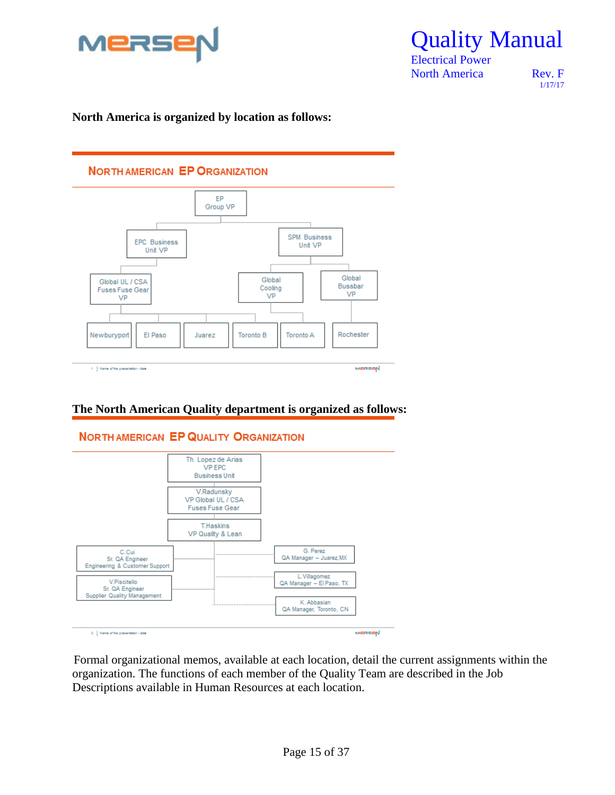

Quality Manual

1/17/17

#### **North America is organized by location as follows:**



#### **The North American Quality department is organized as follows:**



Formal organizational memos, available at each location, detail the current assignments within the organization. The functions of each member of the Quality Team are described in the Job Descriptions available in Human Resources at each location.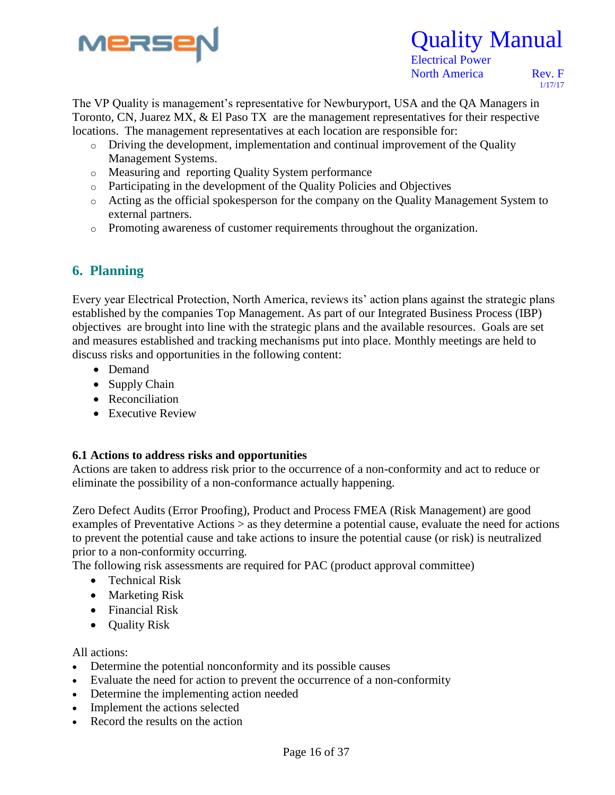

 Electrical Power North America Rev. F

1/17/17

The VP Quality is management's representative for Newburyport, USA and the QA Managers in Toronto, CN, Juarez MX, & El Paso TX are the management representatives for their respective locations. The management representatives at each location are responsible for:

- o Driving the development, implementation and continual improvement of the Quality Management Systems.
- o Measuring and reporting Quality System performance
- o Participating in the development of the Quality Policies and Objectives
- o Acting as the official spokesperson for the company on the Quality Management System to external partners.
- o Promoting awareness of customer requirements throughout the organization.

#### **6. Planning**

Every year Electrical Protection, North America, reviews its' action plans against the strategic plans established by the companies Top Management. As part of our Integrated Business Process (IBP) objectives are brought into line with the strategic plans and the available resources. Goals are set and measures established and tracking mechanisms put into place. Monthly meetings are held to discuss risks and opportunities in the following content:

- Demand
- Supply Chain
- Reconciliation
- Executive Review

#### **6.1 Actions to address risks and opportunities**

Actions are taken to address risk prior to the occurrence of a non-conformity and act to reduce or eliminate the possibility of a non-conformance actually happening.

Zero Defect Audits (Error Proofing), Product and Process FMEA (Risk Management) are good examples of Preventative Actions > as they determine a potential cause, evaluate the need for actions to prevent the potential cause and take actions to insure the potential cause (or risk) is neutralized prior to a non-conformity occurring.

The following risk assessments are required for PAC (product approval committee)

- Technical Risk
- Marketing Risk
- Financial Risk
- **Quality Risk**

All actions:

- Determine the potential nonconformity and its possible causes
- Evaluate the need for action to prevent the occurrence of a non-conformity
- Determine the implementing action needed
- Implement the actions selected
- Record the results on the action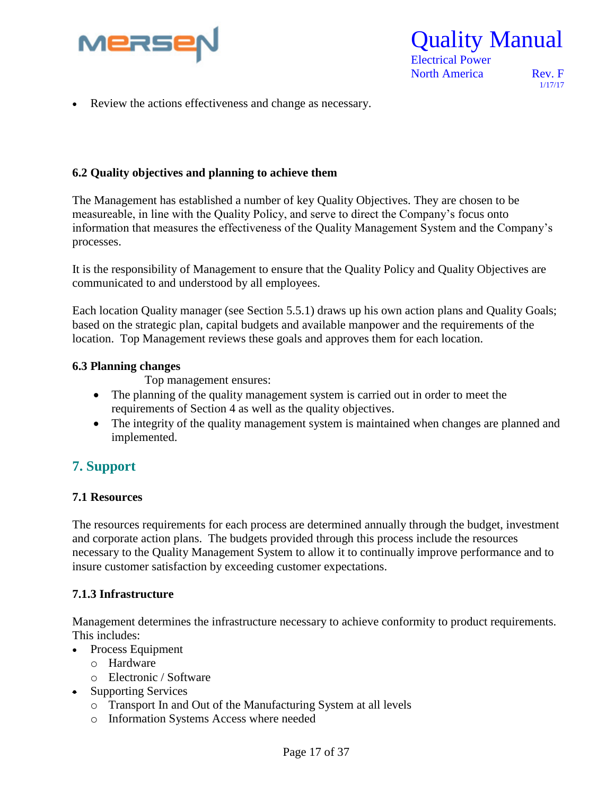

 Electrical Power North America Rev. F

1/17/17

Review the actions effectiveness and change as necessary.

#### **6.2 Quality objectives and planning to achieve them**

The Management has established a number of key Quality Objectives. They are chosen to be measureable, in line with the Quality Policy, and serve to direct the Company's focus onto information that measures the effectiveness of the Quality Management System and the Company's processes.

It is the responsibility of Management to ensure that the Quality Policy and Quality Objectives are communicated to and understood by all employees.

Each location Quality manager (see Section 5.5.1) draws up his own action plans and Quality Goals; based on the strategic plan, capital budgets and available manpower and the requirements of the location. Top Management reviews these goals and approves them for each location.

#### **6.3 Planning changes**

Top management ensures:

- The planning of the quality management system is carried out in order to meet the requirements of Section 4 as well as the quality objectives.
- The integrity of the quality management system is maintained when changes are planned and implemented.

#### **7. Support**

#### **7.1 Resources**

The resources requirements for each process are determined annually through the budget, investment and corporate action plans. The budgets provided through this process include the resources necessary to the Quality Management System to allow it to continually improve performance and to insure customer satisfaction by exceeding customer expectations.

#### **7.1.3 Infrastructure**

Management determines the infrastructure necessary to achieve conformity to product requirements. This includes:

- Process Equipment
	- o Hardware
	- o Electronic / Software
- Supporting Services
	- o Transport In and Out of the Manufacturing System at all levels
	- o Information Systems Access where needed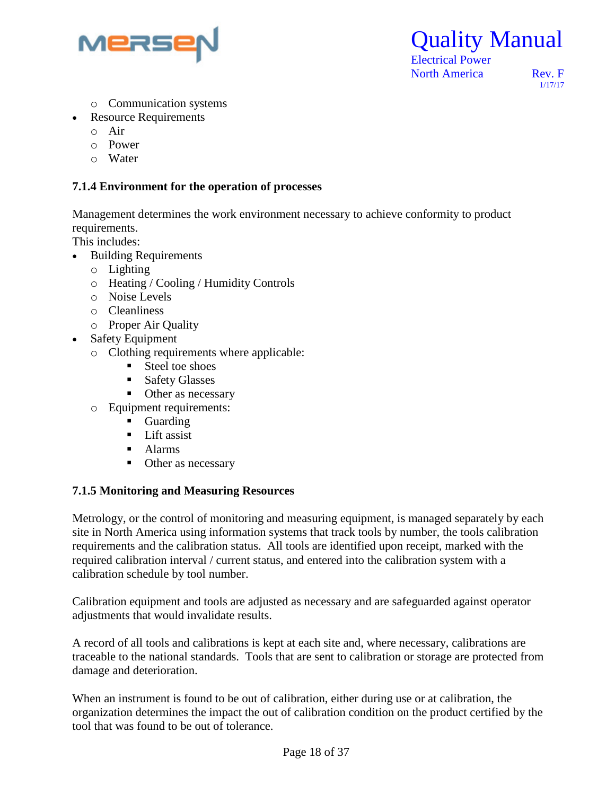

Quality Manual

1/17/17

- o Communication systems
- Resource Requirements
	- o Air
	- o Power
	- o Water

#### **7.1.4 Environment for the operation of processes**

Management determines the work environment necessary to achieve conformity to product requirements.

This includes:

- Building Requirements
	- o Lighting
	- o Heating / Cooling / Humidity Controls
	- o Noise Levels
	- o Cleanliness
	- o Proper Air Quality
- Safety Equipment
	- o Clothing requirements where applicable:
		- Steel toe shoes
		- **Safety Glasses**
		- Other as necessary
	- o Equipment requirements:
		- **Guarding**
		- **Lift assist**
		- Alarms
		- Other as necessary

#### **7.1.5 Monitoring and Measuring Resources**

Metrology, or the control of monitoring and measuring equipment, is managed separately by each site in North America using information systems that track tools by number, the tools calibration requirements and the calibration status. All tools are identified upon receipt, marked with the required calibration interval / current status, and entered into the calibration system with a calibration schedule by tool number.

Calibration equipment and tools are adjusted as necessary and are safeguarded against operator adjustments that would invalidate results.

A record of all tools and calibrations is kept at each site and, where necessary, calibrations are traceable to the national standards. Tools that are sent to calibration or storage are protected from damage and deterioration.

When an instrument is found to be out of calibration, either during use or at calibration, the organization determines the impact the out of calibration condition on the product certified by the tool that was found to be out of tolerance.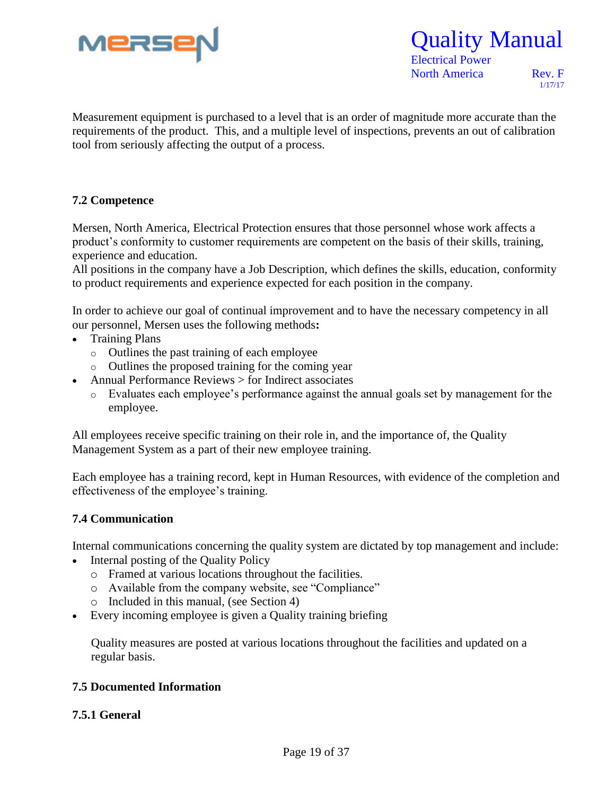

 Electrical Power North America Rev. F

1/17/17

Measurement equipment is purchased to a level that is an order of magnitude more accurate than the requirements of the product. This, and a multiple level of inspections, prevents an out of calibration tool from seriously affecting the output of a process.

#### **7.2 Competence**

Mersen, North America, Electrical Protection ensures that those personnel whose work affects a product's conformity to customer requirements are competent on the basis of their skills, training, experience and education.

All positions in the company have a Job Description, which defines the skills, education, conformity to product requirements and experience expected for each position in the company.

In order to achieve our goal of continual improvement and to have the necessary competency in all our personnel, Mersen uses the following methods**:**

- Training Plans
	- o Outlines the past training of each employee
	- o Outlines the proposed training for the coming year
	- Annual Performance Reviews > for Indirect associates
		- o Evaluates each employee's performance against the annual goals set by management for the employee.

All employees receive specific training on their role in, and the importance of, the Quality Management System as a part of their new employee training.

Each employee has a training record, kept in Human Resources, with evidence of the completion and effectiveness of the employee's training.

#### **7.4 Communication**

Internal communications concerning the quality system are dictated by top management and include:

- Internal posting of the Quality Policy
	- o Framed at various locations throughout the facilities.
	- o Available from the company website, see "Compliance"
	- o Included in this manual, (see Section 4)
- Every incoming employee is given a Quality training briefing

Quality measures are posted at various locations throughout the facilities and updated on a regular basis.

#### **7.5 Documented Information**

#### **7.5.1 General**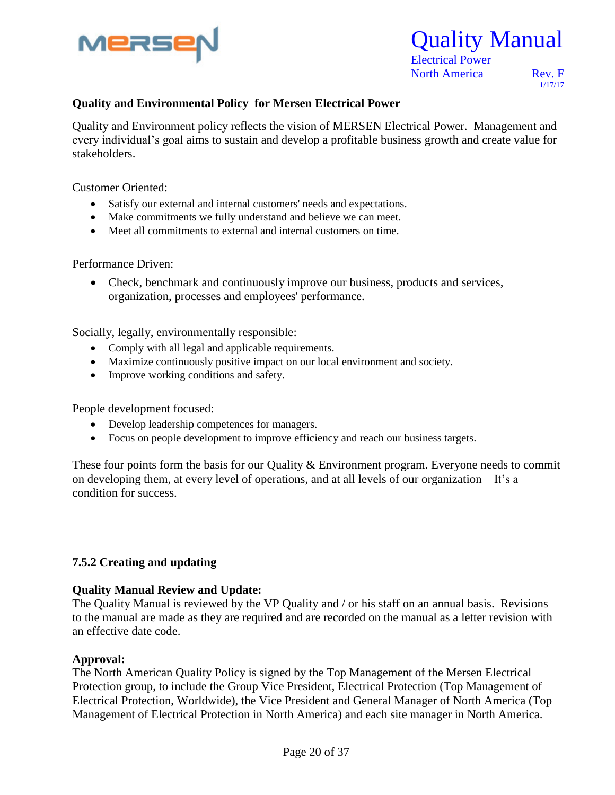

 Electrical Power North America Rev. F

1/17/17

#### Re **Quality and Environmental Policy for Mersen Electrical Power**

Quality and Environment policy reflects the vision of MERSEN Electrical Power. Management and every individual's goal aims to sustain and develop a profitable business growth and create value for stakeholders.

Customer Oriented:

- Satisfy our external and internal customers' needs and expectations.
- Make commitments we fully understand and believe we can meet.
- Meet all commitments to external and internal customers on time.

Performance Driven:

 Check, benchmark and continuously improve our business, products and services, organization, processes and employees' performance.

Socially, legally, environmentally responsible:

- Comply with all legal and applicable requirements.
- Maximize continuously positive impact on our local environment and society.
- Improve working conditions and safety.

People development focused:

- Develop leadership competences for managers.
- Focus on people development to improve efficiency and reach our business targets.

These four points form the basis for our Quality & Environment program. Everyone needs to commit on developing them, at every level of operations, and at all levels of our organization – It's a condition for success.

#### **7.5.2 Creating and updating**

#### **Quality Manual Review and Update:**

The Quality Manual is reviewed by the VP Quality and / or his staff on an annual basis. Revisions to the manual are made as they are required and are recorded on the manual as a letter revision with an effective date code.

#### **Approval:**

The North American Quality Policy is signed by the Top Management of the Mersen Electrical Protection group, to include the Group Vice President, Electrical Protection (Top Management of Electrical Protection, Worldwide), the Vice President and General Manager of North America (Top Management of Electrical Protection in North America) and each site manager in North America.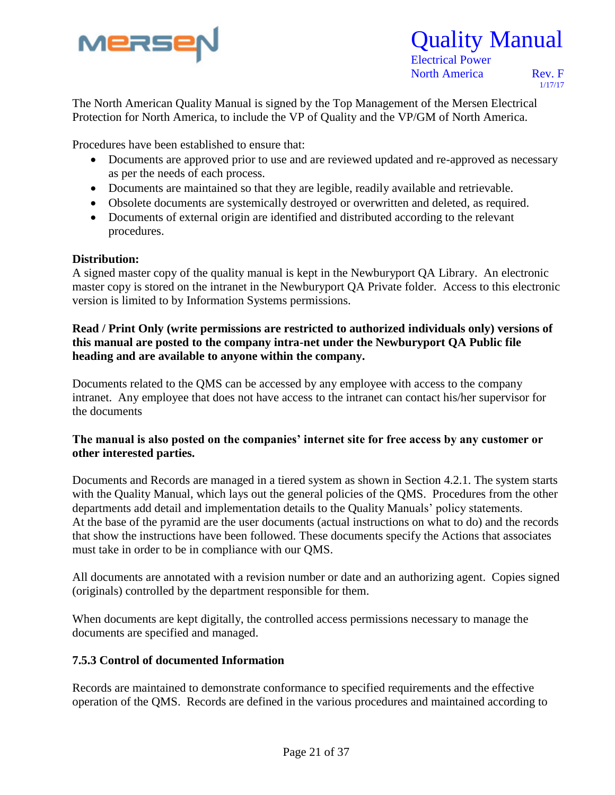

1/17/17

The North American Quality Manual is signed by the Top Management of the Mersen Electrical Protection for North America, to include the VP of Quality and the VP/GM of North America.

Procedures have been established to ensure that:

- Documents are approved prior to use and are reviewed updated and re-approved as necessary as per the needs of each process.
- Documents are maintained so that they are legible, readily available and retrievable.
- Obsolete documents are systemically destroyed or overwritten and deleted, as required.
- Documents of external origin are identified and distributed according to the relevant procedures.

#### **Distribution:**

A signed master copy of the quality manual is kept in the Newburyport QA Library. An electronic master copy is stored on the intranet in the Newburyport QA Private folder. Access to this electronic version is limited to by Information Systems permissions.

#### **Read / Print Only (write permissions are restricted to authorized individuals only) versions of this manual are posted to the company intra-net under the Newburyport QA Public file heading and are available to anyone within the company.**

Documents related to the QMS can be accessed by any employee with access to the company intranet. Any employee that does not have access to the intranet can contact his/her supervisor for the documents

#### **The manual is also posted on the companies' internet site for free access by any customer or other interested parties.**

Documents and Records are managed in a tiered system as shown in Section 4.2.1. The system starts with the Quality Manual, which lays out the general policies of the QMS. Procedures from the other departments add detail and implementation details to the Quality Manuals' policy statements. At the base of the pyramid are the user documents (actual instructions on what to do) and the records that show the instructions have been followed. These documents specify the Actions that associates must take in order to be in compliance with our QMS.

All documents are annotated with a revision number or date and an authorizing agent. Copies signed (originals) controlled by the department responsible for them.

When documents are kept digitally, the controlled access permissions necessary to manage the documents are specified and managed.

#### **7.5.3 Control of documented Information**

Records are maintained to demonstrate conformance to specified requirements and the effective operation of the QMS. Records are defined in the various procedures and maintained according to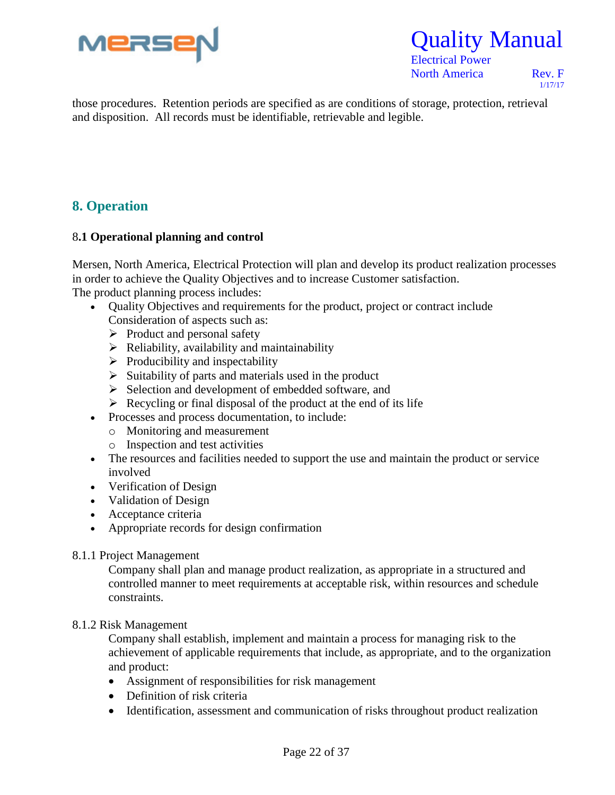



North America Rev. F

1/17/17

Re those procedures. Retention periods are specified as are conditions of storage, protection, retrieval and disposition. All records must be identifiable, retrievable and legible.

#### **8. Operation**

#### 8**.1 Operational planning and control**

Mersen, North America, Electrical Protection will plan and develop its product realization processes in order to achieve the Quality Objectives and to increase Customer satisfaction. The product planning process includes:

- Quality Objectives and requirements for the product, project or contract include Consideration of aspects such as:
	- $\triangleright$  Product and personal safety
	- $\triangleright$  Reliability, availability and maintainability
	- $\triangleright$  Producibility and inspectability
	- $\triangleright$  Suitability of parts and materials used in the product
	- $\triangleright$  Selection and development of embedded software, and
	- $\triangleright$  Recycling or final disposal of the product at the end of its life
- Processes and process documentation, to include:
	- o Monitoring and measurement
	- o Inspection and test activities
- The resources and facilities needed to support the use and maintain the product or service involved
- Verification of Design
- Validation of Design
- Acceptance criteria
- Appropriate records for design confirmation

#### 8.1.1 Project Management

Company shall plan and manage product realization, as appropriate in a structured and controlled manner to meet requirements at acceptable risk, within resources and schedule constraints.

#### 8.1.2 Risk Management

Company shall establish, implement and maintain a process for managing risk to the achievement of applicable requirements that include, as appropriate, and to the organization and product:

- Assignment of responsibilities for risk management
- Definition of risk criteria
- Identification, assessment and communication of risks throughout product realization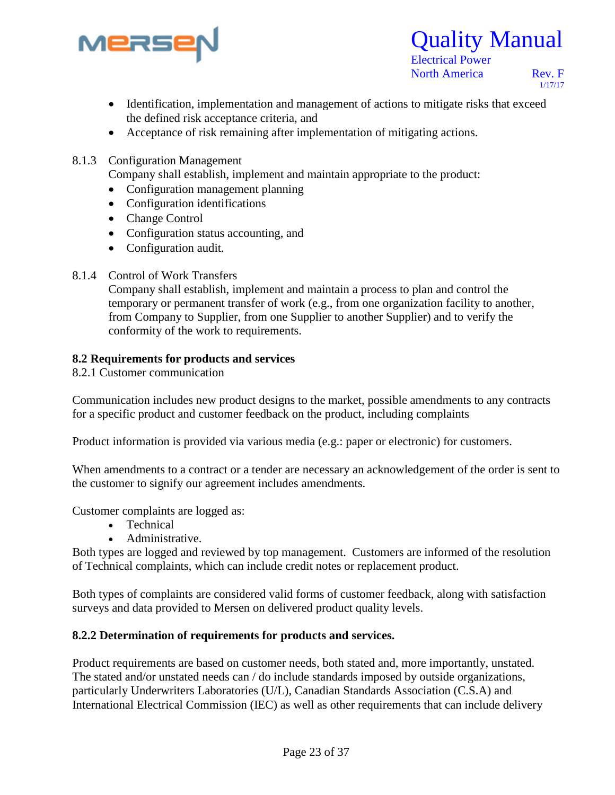



North America Rev. F

1/17/17

- Identification, implementation and management of actions to mitigate risks that exceed the defined risk acceptance criteria, and
- Acceptance of risk remaining after implementation of mitigating actions.
- 8.1.3 Configuration Management

Company shall establish, implement and maintain appropriate to the product:

- Configuration management planning
- Configuration identifications
- Change Control
- Configuration status accounting, and
- Configuration audit.
- 8.1.4 Control of Work Transfers

Company shall establish, implement and maintain a process to plan and control the temporary or permanent transfer of work (e.g., from one organization facility to another, from Company to Supplier, from one Supplier to another Supplier) and to verify the conformity of the work to requirements.

#### **8.2 Requirements for products and services**

8.2.1 Customer communication

Communication includes new product designs to the market, possible amendments to any contracts for a specific product and customer feedback on the product, including complaints

Product information is provided via various media (e.g.: paper or electronic) for customers.

When amendments to a contract or a tender are necessary an acknowledgement of the order is sent to the customer to signify our agreement includes amendments.

Customer complaints are logged as:

- Technical
- Administrative.

Both types are logged and reviewed by top management. Customers are informed of the resolution of Technical complaints, which can include credit notes or replacement product.

Both types of complaints are considered valid forms of customer feedback, along with satisfaction surveys and data provided to Mersen on delivered product quality levels.

#### **8.2.2 Determination of requirements for products and services.**

Product requirements are based on customer needs, both stated and, more importantly, unstated. The stated and/or unstated needs can / do include standards imposed by outside organizations, particularly Underwriters Laboratories (U/L), Canadian Standards Association (C.S.A) and International Electrical Commission (IEC) as well as other requirements that can include delivery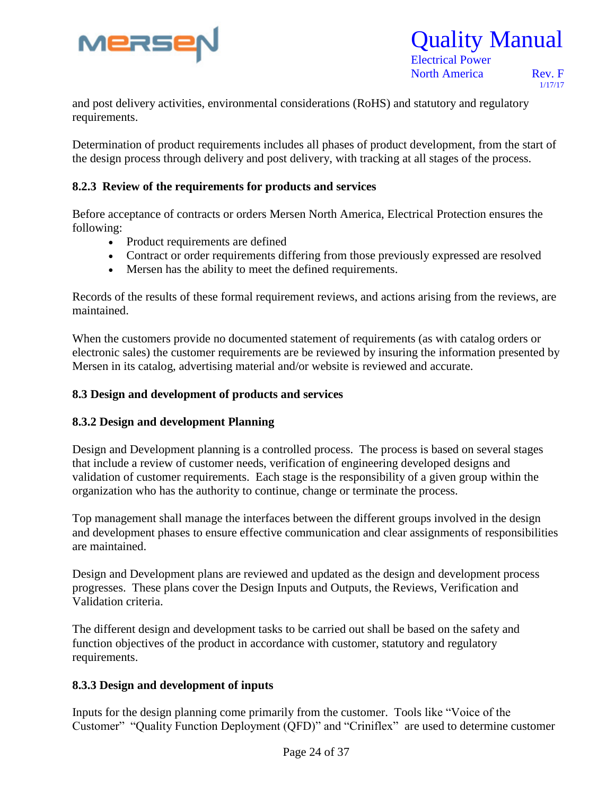

### Quality Manual Electrical Power

North America Rev. F

1/17/17

and post delivery activities, environmental considerations (RoHS) and statutory and regulatory requirements.

Determination of product requirements includes all phases of product development, from the start of the design process through delivery and post delivery, with tracking at all stages of the process.

#### **8.2.3 Review of the requirements for products and services**

Before acceptance of contracts or orders Mersen North America, Electrical Protection ensures the following:

- Product requirements are defined
- Contract or order requirements differing from those previously expressed are resolved
- Mersen has the ability to meet the defined requirements.

Records of the results of these formal requirement reviews, and actions arising from the reviews, are maintained.

When the customers provide no documented statement of requirements (as with catalog orders or electronic sales) the customer requirements are be reviewed by insuring the information presented by Mersen in its catalog, advertising material and/or website is reviewed and accurate.

#### **8.3 Design and development of products and services**

#### **8.3.2 Design and development Planning**

Design and Development planning is a controlled process. The process is based on several stages that include a review of customer needs, verification of engineering developed designs and validation of customer requirements. Each stage is the responsibility of a given group within the organization who has the authority to continue, change or terminate the process.

Top management shall manage the interfaces between the different groups involved in the design and development phases to ensure effective communication and clear assignments of responsibilities are maintained.

Design and Development plans are reviewed and updated as the design and development process progresses. These plans cover the Design Inputs and Outputs, the Reviews, Verification and Validation criteria.

The different design and development tasks to be carried out shall be based on the safety and function objectives of the product in accordance with customer, statutory and regulatory requirements.

#### **8.3.3 Design and development of inputs**

Inputs for the design planning come primarily from the customer. Tools like "Voice of the Customer" "Quality Function Deployment (QFD)" and "Criniflex" are used to determine customer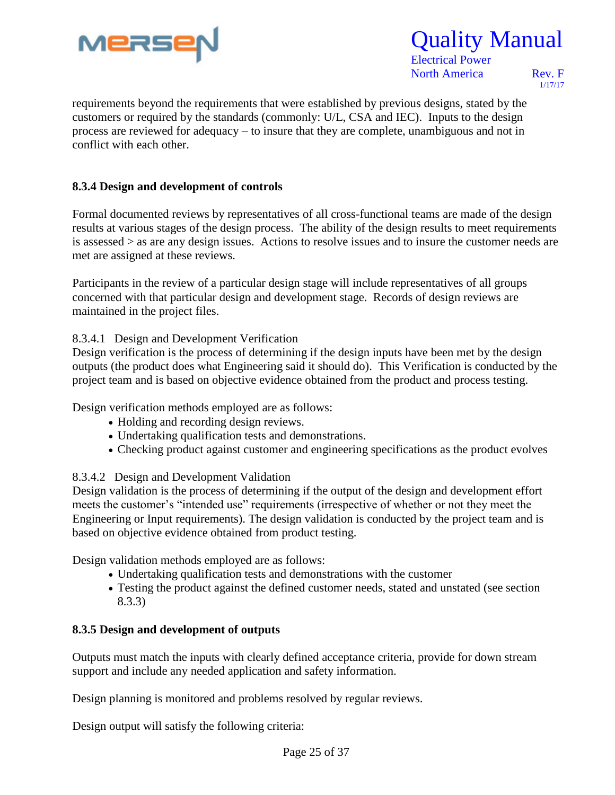

 Electrical Power North America Rev. F

1/17/17

requirements beyond the requirements that were established by previous designs, stated by the customers or required by the standards (commonly: U/L, CSA and IEC). Inputs to the design process are reviewed for adequacy – to insure that they are complete, unambiguous and not in conflict with each other.

#### **8.3.4 Design and development of controls**

Formal documented reviews by representatives of all cross-functional teams are made of the design results at various stages of the design process. The ability of the design results to meet requirements is assessed > as are any design issues. Actions to resolve issues and to insure the customer needs are met are assigned at these reviews.

Participants in the review of a particular design stage will include representatives of all groups concerned with that particular design and development stage. Records of design reviews are maintained in the project files.

#### 8.3.4.1 Design and Development Verification

Design verification is the process of determining if the design inputs have been met by the design outputs (the product does what Engineering said it should do). This Verification is conducted by the project team and is based on objective evidence obtained from the product and process testing.

Design verification methods employed are as follows:

- Holding and recording design reviews.
- Undertaking qualification tests and demonstrations.
- Checking product against customer and engineering specifications as the product evolves

#### 8.3.4.2 Design and Development Validation

Design validation is the process of determining if the output of the design and development effort meets the customer's "intended use" requirements (irrespective of whether or not they meet the Engineering or Input requirements). The design validation is conducted by the project team and is based on objective evidence obtained from product testing.

Design validation methods employed are as follows:

- Undertaking qualification tests and demonstrations with the customer
- Testing the product against the defined customer needs, stated and unstated (see section 8.3.3)

#### **8.3.5 Design and development of outputs**

Outputs must match the inputs with clearly defined acceptance criteria, provide for down stream support and include any needed application and safety information.

Design planning is monitored and problems resolved by regular reviews.

Design output will satisfy the following criteria: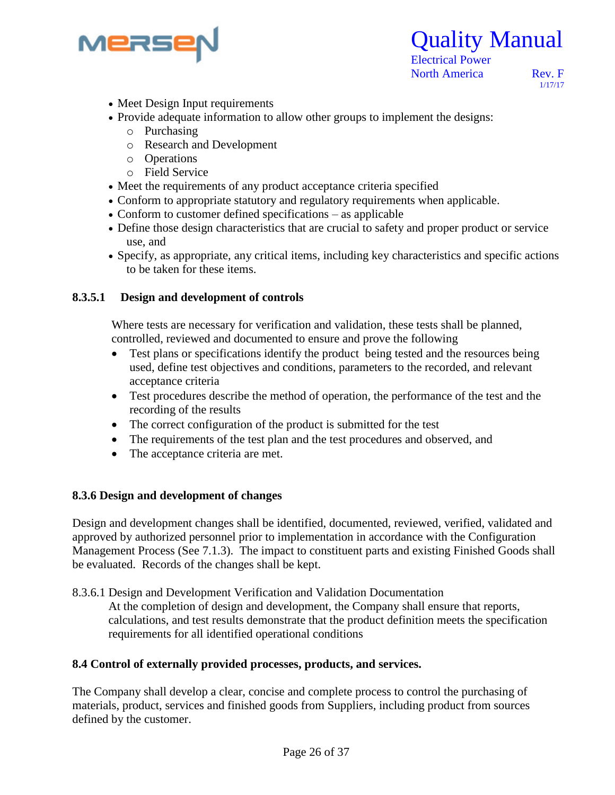



1/17/17

- Meet Design Input requirements
- Provide adequate information to allow other groups to implement the designs:
	- o Purchasing
	- o Research and Development
	- o Operations
	- o Field Service
- Meet the requirements of any product acceptance criteria specified
- Conform to appropriate statutory and regulatory requirements when applicable.
- Conform to customer defined specifications as applicable
- Define those design characteristics that are crucial to safety and proper product or service use, and
- Specify, as appropriate, any critical items, including key characteristics and specific actions to be taken for these items.

#### **8.3.5.1 Design and development of controls**

Where tests are necessary for verification and validation, these tests shall be planned, controlled, reviewed and documented to ensure and prove the following

- Test plans or specifications identify the product being tested and the resources being used, define test objectives and conditions, parameters to the recorded, and relevant acceptance criteria
- Test procedures describe the method of operation, the performance of the test and the recording of the results
- The correct configuration of the product is submitted for the test
- The requirements of the test plan and the test procedures and observed, and
- The acceptance criteria are met.

#### **8.3.6 Design and development of changes**

Design and development changes shall be identified, documented, reviewed, verified, validated and approved by authorized personnel prior to implementation in accordance with the Configuration Management Process (See 7.1.3). The impact to constituent parts and existing Finished Goods shall be evaluated. Records of the changes shall be kept.

8.3.6.1 Design and Development Verification and Validation Documentation At the completion of design and development, the Company shall ensure that reports, calculations, and test results demonstrate that the product definition meets the specification requirements for all identified operational conditions

#### **8.4 Control of externally provided processes, products, and services.**

The Company shall develop a clear, concise and complete process to control the purchasing of materials, product, services and finished goods from Suppliers, including product from sources defined by the customer.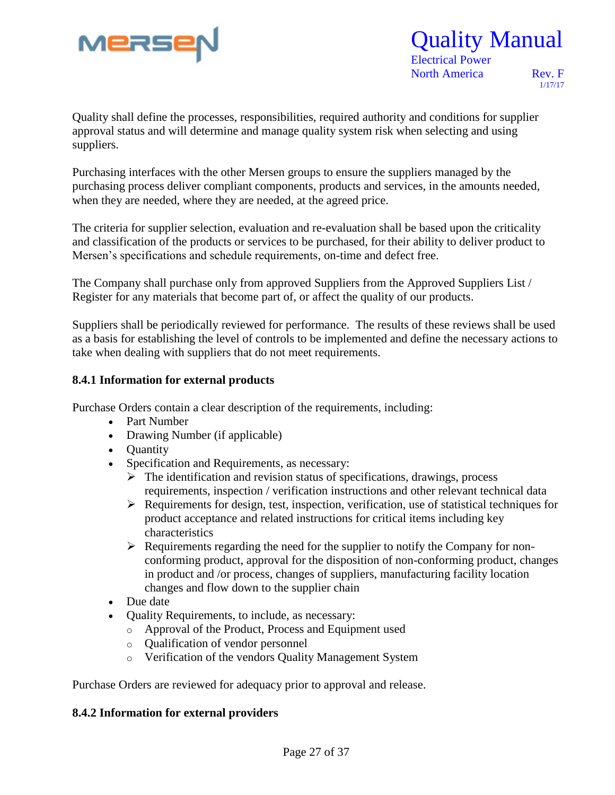

### Quality Manual Electrical Power

North America Rev. F

1/17/17

Quality shall define the processes, responsibilities, required authority and conditions for supplier approval status and will determine and manage quality system risk when selecting and using suppliers.

Purchasing interfaces with the other Mersen groups to ensure the suppliers managed by the purchasing process deliver compliant components, products and services, in the amounts needed, when they are needed, where they are needed, at the agreed price.

The criteria for supplier selection, evaluation and re-evaluation shall be based upon the criticality and classification of the products or services to be purchased, for their ability to deliver product to Mersen's specifications and schedule requirements, on-time and defect free.

The Company shall purchase only from approved Suppliers from the Approved Suppliers List / Register for any materials that become part of, or affect the quality of our products.

Suppliers shall be periodically reviewed for performance. The results of these reviews shall be used as a basis for establishing the level of controls to be implemented and define the necessary actions to take when dealing with suppliers that do not meet requirements.

#### **8.4.1 Information for external products**

Purchase Orders contain a clear description of the requirements, including:

- Part Number
- Drawing Number (if applicable)
- **Quantity**
- Specification and Requirements, as necessary:
	- $\triangleright$  The identification and revision status of specifications, drawings, process requirements, inspection / verification instructions and other relevant technical data
	- $\triangleright$  Requirements for design, test, inspection, verification, use of statistical techniques for product acceptance and related instructions for critical items including key characteristics
	- $\triangleright$  Requirements regarding the need for the supplier to notify the Company for nonconforming product, approval for the disposition of non-conforming product, changes in product and /or process, changes of suppliers, manufacturing facility location changes and flow down to the supplier chain
- Due date
- Quality Requirements, to include, as necessary:
	- o Approval of the Product, Process and Equipment used
	- o Qualification of vendor personnel
	- o Verification of the vendors Quality Management System

Purchase Orders are reviewed for adequacy prior to approval and release.

#### **8.4.2 Information for external providers**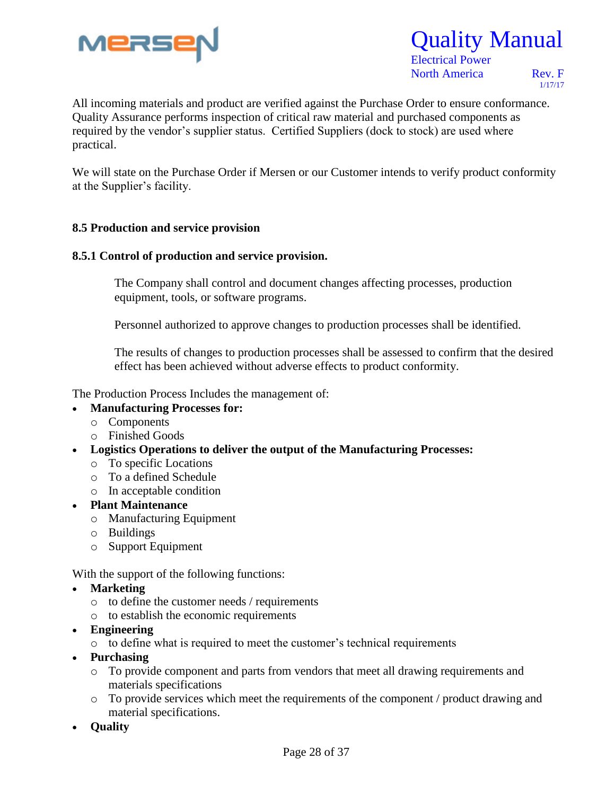

### Quality Manual Electrical Power

North America Rev. F

1/17/17

Re All incoming materials and product are verified against the Purchase Order to ensure conformance. Quality Assurance performs inspection of critical raw material and purchased components as required by the vendor's supplier status. Certified Suppliers (dock to stock) are used where practical.

We will state on the Purchase Order if Mersen or our Customer intends to verify product conformity at the Supplier's facility.

#### **8.5 Production and service provision**

#### **8.5.1 Control of production and service provision.**

 The Company shall control and document changes affecting processes, production equipment, tools, or software programs.

Personnel authorized to approve changes to production processes shall be identified.

 The results of changes to production processes shall be assessed to confirm that the desired effect has been achieved without adverse effects to product conformity.

The Production Process Includes the management of:

- **Manufacturing Processes for:**
	- o Components
	- o Finished Goods
- **Logistics Operations to deliver the output of the Manufacturing Processes:**
	- o To specific Locations
	- o To a defined Schedule
	- o In acceptable condition
- **Plant Maintenance**
	- o Manufacturing Equipment
	- o Buildings
	- o Support Equipment

With the support of the following functions:

- **Marketing** 
	- o to define the customer needs / requirements
	- o to establish the economic requirements
- **Engineering** 
	- o to define what is required to meet the customer's technical requirements
- **Purchasing**
	- o To provide component and parts from vendors that meet all drawing requirements and materials specifications
	- o To provide services which meet the requirements of the component / product drawing and material specifications.
- **Quality**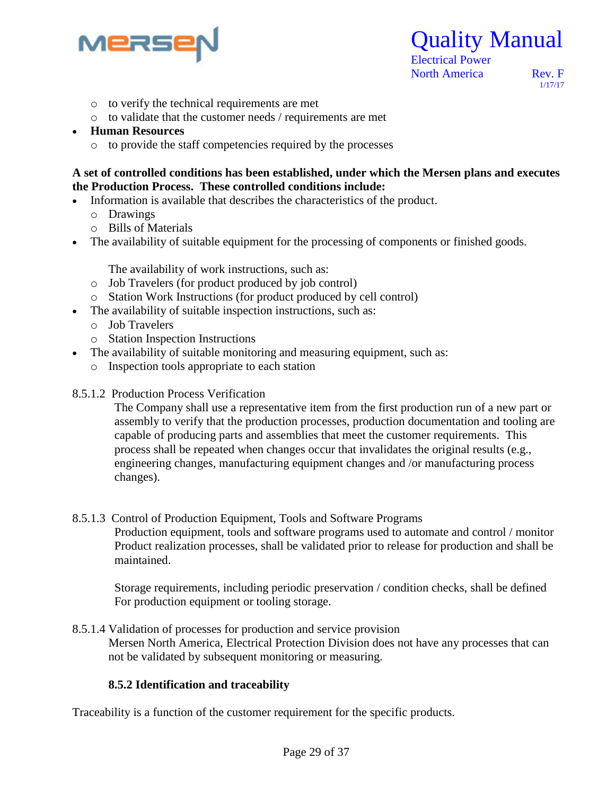

 Electrical Power North America Rev. F

1/17/17

- o to verify the technical requirements are met
- o to validate that the customer needs / requirements are met
- **Human Resources**
	- o to provide the staff competencies required by the processes

#### **A set of controlled conditions has been established, under which the Mersen plans and executes the Production Process. These controlled conditions include:**

- Information is available that describes the characteristics of the product.
	- o Drawings
	- o Bills of Materials
- The availability of suitable equipment for the processing of components or finished goods.

The availability of work instructions, such as:

- o Job Travelers (for product produced by job control)
- o Station Work Instructions (for product produced by cell control)
- The availability of suitable inspection instructions, such as:
	- o Job Travelers
	- o Station Inspection Instructions
- The availability of suitable monitoring and measuring equipment, such as:
	- o Inspection tools appropriate to each station
- 8.5.1.2 Production Process Verification

The Company shall use a representative item from the first production run of a new part or assembly to verify that the production processes, production documentation and tooling are capable of producing parts and assemblies that meet the customer requirements. This process shall be repeated when changes occur that invalidates the original results (e.g., engineering changes, manufacturing equipment changes and /or manufacturing process changes).

#### 8.5.1.3 Control of Production Equipment, Tools and Software Programs

Production equipment, tools and software programs used to automate and control / monitor Product realization processes, shall be validated prior to release for production and shall be maintained.

 Storage requirements, including periodic preservation / condition checks, shall be defined For production equipment or tooling storage.

8.5.1.4 Validation of processes for production and service provision Mersen North America, Electrical Protection Division does not have any processes that can not be validated by subsequent monitoring or measuring.

#### **8.5.2 Identification and traceability**

Traceability is a function of the customer requirement for the specific products.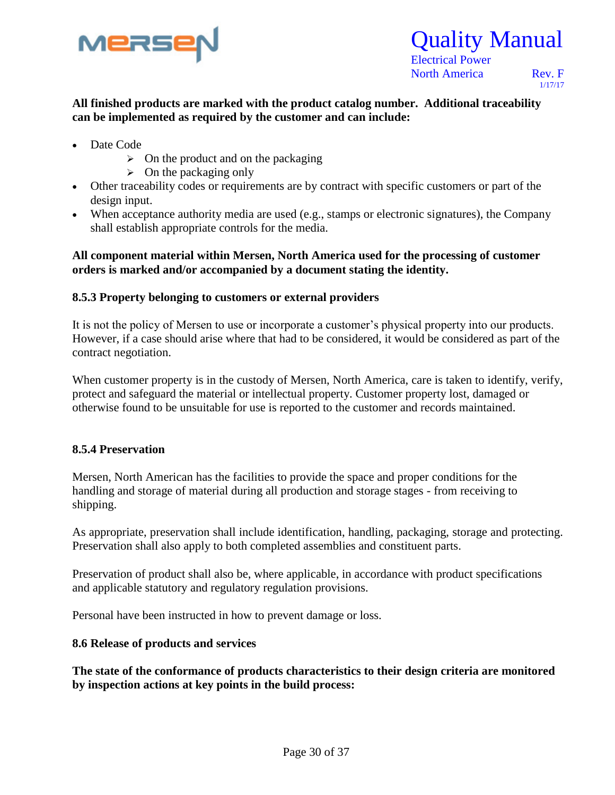

1/17/17

#### Re **All finished products are marked with the product catalog number. Additional traceability can be implemented as required by the customer and can include:**

- Date Code
	- $\triangleright$  On the product and on the packaging
	- $\triangleright$  On the packaging only
- Other traceability codes or requirements are by contract with specific customers or part of the design input.
- When acceptance authority media are used (e.g., stamps or electronic signatures), the Company shall establish appropriate controls for the media.

#### **All component material within Mersen, North America used for the processing of customer orders is marked and/or accompanied by a document stating the identity.**

#### **8.5.3 Property belonging to customers or external providers**

It is not the policy of Mersen to use or incorporate a customer's physical property into our products. However, if a case should arise where that had to be considered, it would be considered as part of the contract negotiation.

When customer property is in the custody of Mersen, North America, care is taken to identify, verify, protect and safeguard the material or intellectual property. Customer property lost, damaged or otherwise found to be unsuitable for use is reported to the customer and records maintained.

#### **8.5.4 Preservation**

Mersen, North American has the facilities to provide the space and proper conditions for the handling and storage of material during all production and storage stages - from receiving to shipping.

As appropriate, preservation shall include identification, handling, packaging, storage and protecting. Preservation shall also apply to both completed assemblies and constituent parts.

Preservation of product shall also be, where applicable, in accordance with product specifications and applicable statutory and regulatory regulation provisions.

Personal have been instructed in how to prevent damage or loss.

#### **8.6 Release of products and services**

**The state of the conformance of products characteristics to their design criteria are monitored by inspection actions at key points in the build process:**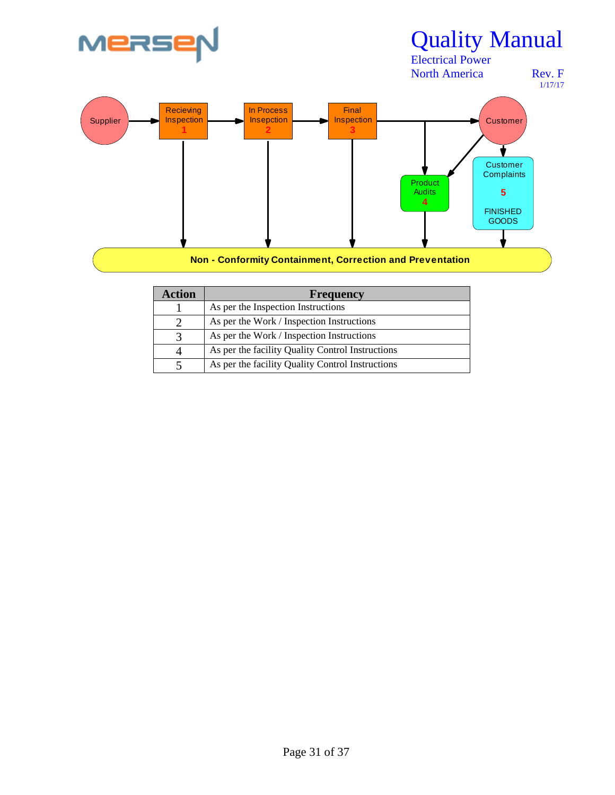

| Action | <b>Frequency</b>                                 |
|--------|--------------------------------------------------|
|        | As per the Inspection Instructions               |
|        | As per the Work / Inspection Instructions        |
|        | As per the Work / Inspection Instructions        |
|        | As per the facility Quality Control Instructions |
|        | As per the facility Quality Control Instructions |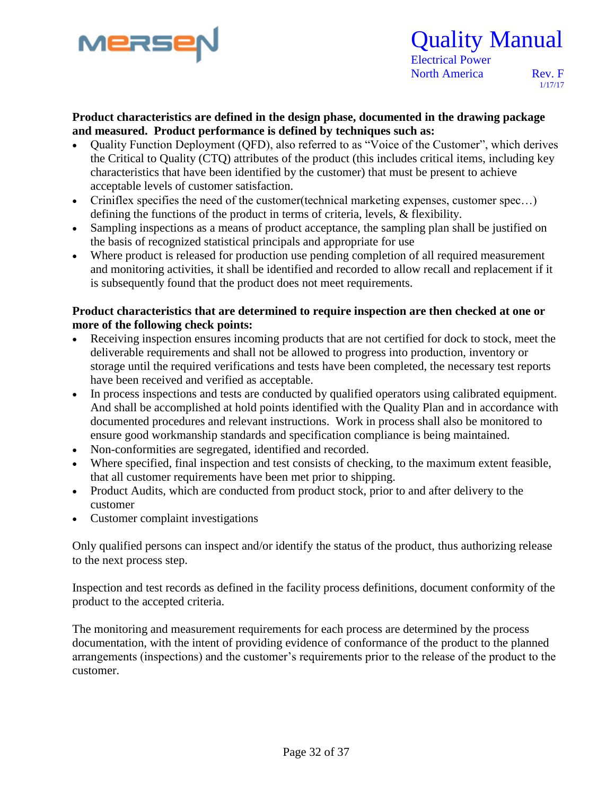

 Electrical Power North America Rev. F

1/17/17

#### **Product characteristics are defined in the design phase, documented in the drawing package and measured. Product performance is defined by techniques such as:**

- Ouality Function Deployment (OFD), also referred to as "Voice of the Customer", which derives the Critical to Quality (CTQ) attributes of the product (this includes critical items, including key characteristics that have been identified by the customer) that must be present to achieve acceptable levels of customer satisfaction.
- Criniflex specifies the need of the customer(technical marketing expenses, customer spec…) defining the functions of the product in terms of criteria, levels, & flexibility.
- Sampling inspections as a means of product acceptance, the sampling plan shall be justified on the basis of recognized statistical principals and appropriate for use
- Where product is released for production use pending completion of all required measurement and monitoring activities, it shall be identified and recorded to allow recall and replacement if it is subsequently found that the product does not meet requirements.

#### **Product characteristics that are determined to require inspection are then checked at one or more of the following check points:**

- Receiving inspection ensures incoming products that are not certified for dock to stock, meet the deliverable requirements and shall not be allowed to progress into production, inventory or storage until the required verifications and tests have been completed, the necessary test reports have been received and verified as acceptable.
- In process inspections and tests are conducted by qualified operators using calibrated equipment. And shall be accomplished at hold points identified with the Quality Plan and in accordance with documented procedures and relevant instructions. Work in process shall also be monitored to ensure good workmanship standards and specification compliance is being maintained.
- Non-conformities are segregated, identified and recorded.
- Where specified, final inspection and test consists of checking, to the maximum extent feasible, that all customer requirements have been met prior to shipping.
- Product Audits, which are conducted from product stock, prior to and after delivery to the customer
- Customer complaint investigations

Only qualified persons can inspect and/or identify the status of the product, thus authorizing release to the next process step.

Inspection and test records as defined in the facility process definitions, document conformity of the product to the accepted criteria.

The monitoring and measurement requirements for each process are determined by the process documentation, with the intent of providing evidence of conformance of the product to the planned arrangements (inspections) and the customer's requirements prior to the release of the product to the customer.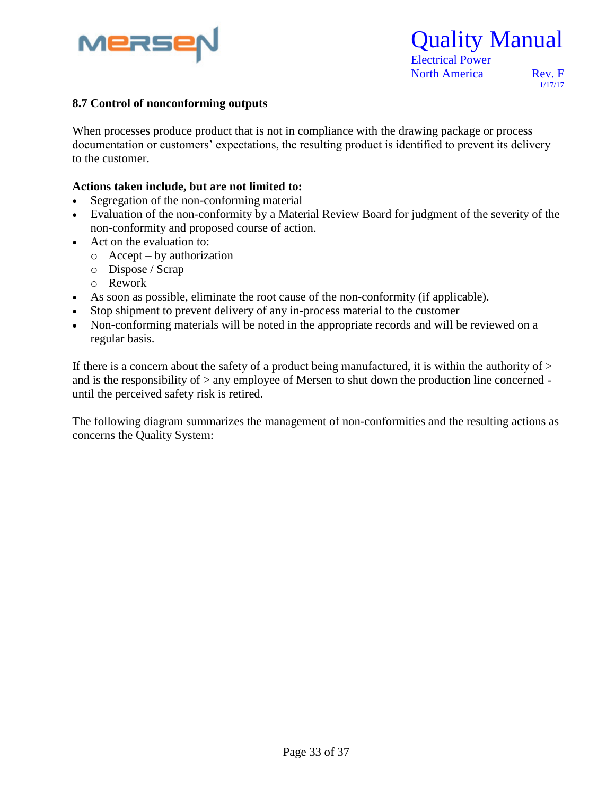

Quality Manual

1/17/17

#### 8.7 Control of nonconforming outputs

When processes produce product that is not in compliance with the drawing package or process documentation or customers' expectations, the resulting product is identified to prevent its delivery to the customer.

#### **Actions taken include, but are not limited to:**

- Segregation of the non-conforming material
- Evaluation of the non-conformity by a Material Review Board for judgment of the severity of the non-conformity and proposed course of action.
- Act on the evaluation to:
	- o Accept by authorization
	- o Dispose / Scrap
	- o Rework
- As soon as possible, eliminate the root cause of the non-conformity (if applicable).
- Stop shipment to prevent delivery of any in-process material to the customer
- Non-conforming materials will be noted in the appropriate records and will be reviewed on a regular basis.

If there is a concern about the safety of a product being manufactured, it is within the authority of  $>$ and is the responsibility of > any employee of Mersen to shut down the production line concerned until the perceived safety risk is retired.

The following diagram summarizes the management of non-conformities and the resulting actions as concerns the Quality System: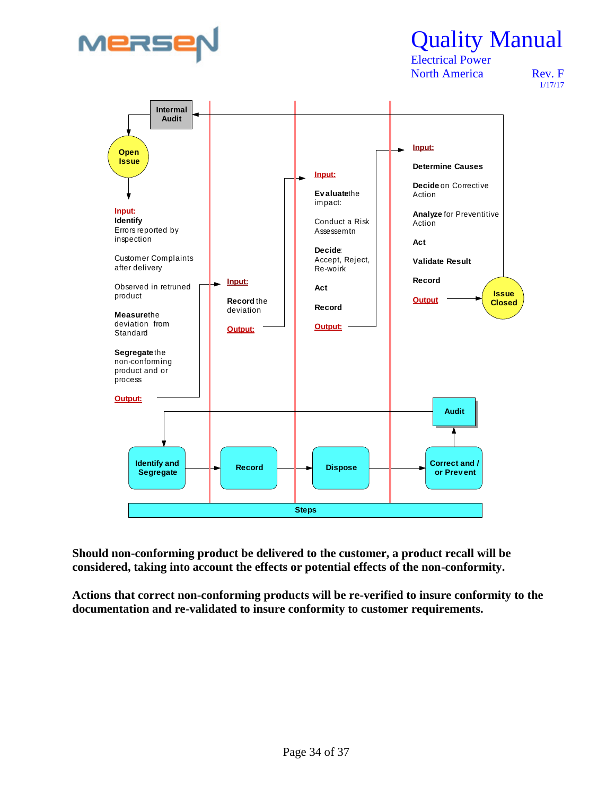

 Electrical Power North America Rev. F

1/17/17



**Should non-conforming product be delivered to the customer, a product recall will be considered, taking into account the effects or potential effects of the non-conformity.**

**Actions that correct non-conforming products will be re-verified to insure conformity to the documentation and re-validated to insure conformity to customer requirements.**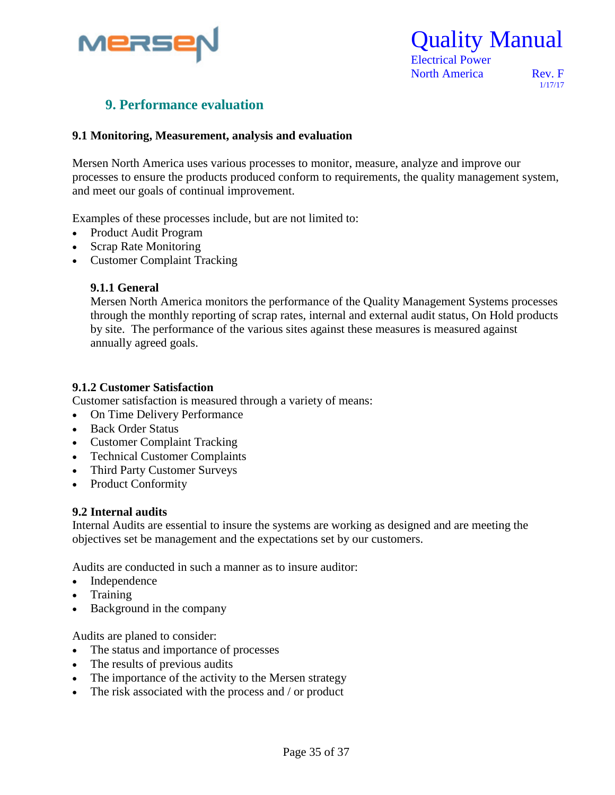

Quality Manual

1/17/17

#### **9. Performance evaluation**

#### **9.1 Monitoring, Measurement, analysis and evaluation**

Mersen North America uses various processes to monitor, measure, analyze and improve our processes to ensure the products produced conform to requirements, the quality management system, and meet our goals of continual improvement.

Examples of these processes include, but are not limited to:

- Product Audit Program
- Scrap Rate Monitoring
- Customer Complaint Tracking

#### **9.1.1 General**

Mersen North America monitors the performance of the Quality Management Systems processes through the monthly reporting of scrap rates, internal and external audit status, On Hold products by site. The performance of the various sites against these measures is measured against annually agreed goals.

#### **9.1.2 Customer Satisfaction**

Customer satisfaction is measured through a variety of means:

- On Time Delivery Performance
- Back Order Status
- Customer Complaint Tracking
- Technical Customer Complaints
- Third Party Customer Surveys
- Product Conformity

#### **9.2 Internal audits**

Internal Audits are essential to insure the systems are working as designed and are meeting the objectives set be management and the expectations set by our customers.

Audits are conducted in such a manner as to insure auditor:

- Independence
- Training
- Background in the company

Audits are planed to consider:

- The status and importance of processes
- The results of previous audits
- The importance of the activity to the Mersen strategy
- The risk associated with the process and / or product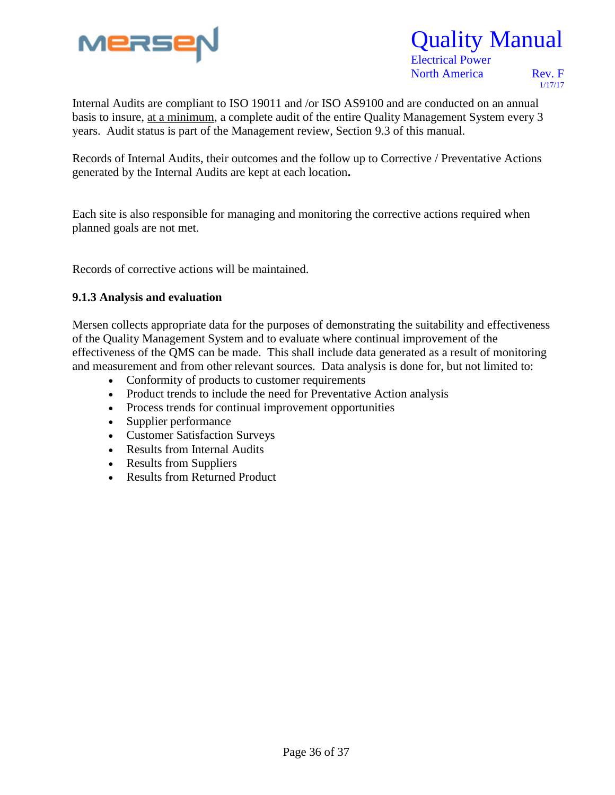

 Electrical Power North America Rev. F

1/17/17

Internal Audits are compliant to ISO 19011 and /or ISO AS9100 and are conducted on an annual basis to insure, at a minimum, a complete audit of the entire Quality Management System every 3 years. Audit status is part of the Management review, Section 9.3 of this manual.

Records of Internal Audits, their outcomes and the follow up to Corrective / Preventative Actions generated by the Internal Audits are kept at each location**.**

Each site is also responsible for managing and monitoring the corrective actions required when planned goals are not met.

Records of corrective actions will be maintained.

#### **9.1.3 Analysis and evaluation**

Mersen collects appropriate data for the purposes of demonstrating the suitability and effectiveness of the Quality Management System and to evaluate where continual improvement of the effectiveness of the QMS can be made. This shall include data generated as a result of monitoring and measurement and from other relevant sources. Data analysis is done for, but not limited to:

- Conformity of products to customer requirements
- Product trends to include the need for Preventative Action analysis
- Process trends for continual improvement opportunities
- Supplier performance
- Customer Satisfaction Surveys
- Results from Internal Audits
- Results from Suppliers
- Results from Returned Product